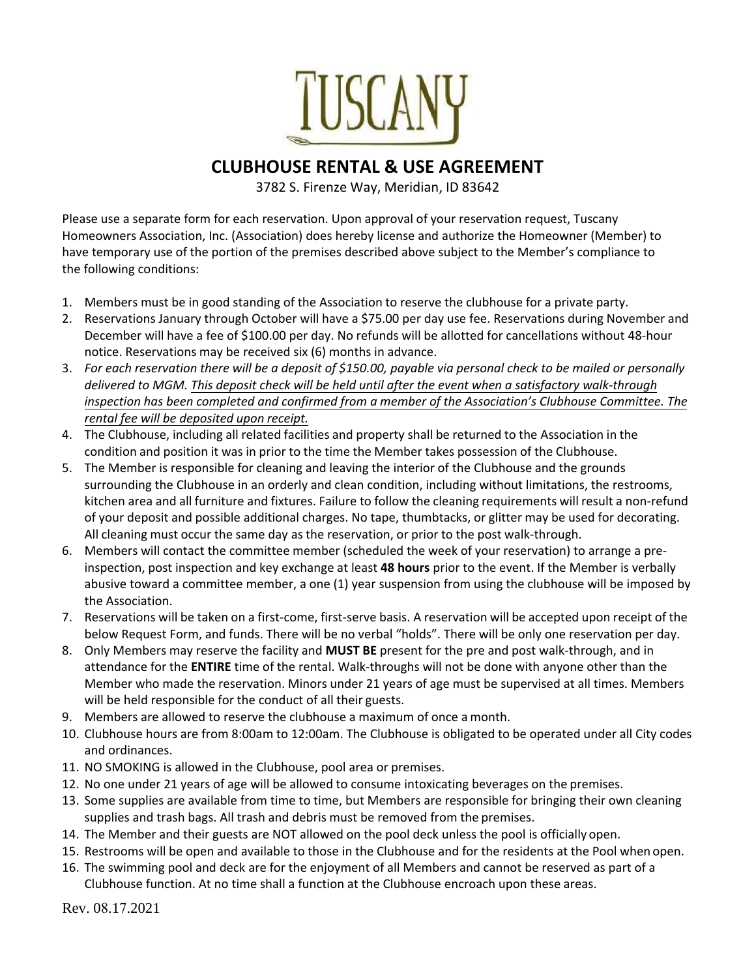

## **CLUBHOUSE RENTAL & USE AGREEMENT**

3782 S. Firenze Way, Meridian, ID 83642

Please use a separate form for each reservation. Upon approval of your reservation request, Tuscany Homeowners Association, Inc. (Association) does hereby license and authorize the Homeowner (Member) to have temporary use of the portion of the premises described above subject to the Member's compliance to the following conditions:

- 1. Members must be in good standing of the Association to reserve the clubhouse for a private party.
- 2. Reservations January through October will have a \$75.00 per day use fee. Reservations during November and December will have a fee of \$100.00 per day. No refunds will be allotted for cancellations without 48-hour notice. Reservations may be received six (6) months in advance.
- 3. *For each reservation there will be a deposit of \$150.00, payable via personal check to be mailed or personally delivered to MGM. This deposit check will be held until after the event when a satisfactory walk-through inspection has been completed and confirmed from a member of the Association's Clubhouse Committee. The rental fee will be deposited upon receipt.*
- 4. The Clubhouse, including all related facilities and property shall be returned to the Association in the condition and position it was in prior to the time the Member takes possession of the Clubhouse.
- 5. The Member is responsible for cleaning and leaving the interior of the Clubhouse and the grounds surrounding the Clubhouse in an orderly and clean condition, including without limitations, the restrooms, kitchen area and all furniture and fixtures. Failure to follow the cleaning requirements will result a non-refund of your deposit and possible additional charges. No tape, thumbtacks, or glitter may be used for decorating. All cleaning must occur the same day as the reservation, or prior to the post walk-through.
- 6. Members will contact the committee member (scheduled the week of your reservation) to arrange a preinspection, post inspection and key exchange at least **48 hours** prior to the event. If the Member is verbally abusive toward a committee member, a one (1) year suspension from using the clubhouse will be imposed by the Association.
- 7. Reservations will be taken on a first-come, first-serve basis. A reservation will be accepted upon receipt of the below Request Form, and funds. There will be no verbal "holds". There will be only one reservation per day.
- 8. Only Members may reserve the facility and **MUST BE** present for the pre and post walk-through, and in attendance for the **ENTIRE** time of the rental. Walk-throughs will not be done with anyone other than the Member who made the reservation. Minors under 21 years of age must be supervised at all times. Members will be held responsible for the conduct of all their guests.
- 9. Members are allowed to reserve the clubhouse a maximum of once a month.
- 10. Clubhouse hours are from 8:00am to 12:00am. The Clubhouse is obligated to be operated under all City codes and ordinances.
- 11. NO SMOKING is allowed in the Clubhouse, pool area or premises.
- 12. No one under 21 years of age will be allowed to consume intoxicating beverages on the premises.
- 13. Some supplies are available from time to time, but Members are responsible for bringing their own cleaning supplies and trash bags. All trash and debris must be removed from the premises.
- 14. The Member and their guests are NOT allowed on the pool deck unless the pool is officially open.
- 15. Restrooms will be open and available to those in the Clubhouse and for the residents at the Pool when open.
- 16. The swimming pool and deck are for the enjoyment of all Members and cannot be reserved as part of a Clubhouse function. At no time shall a function at the Clubhouse encroach upon these areas.

Rev. 08.17.2021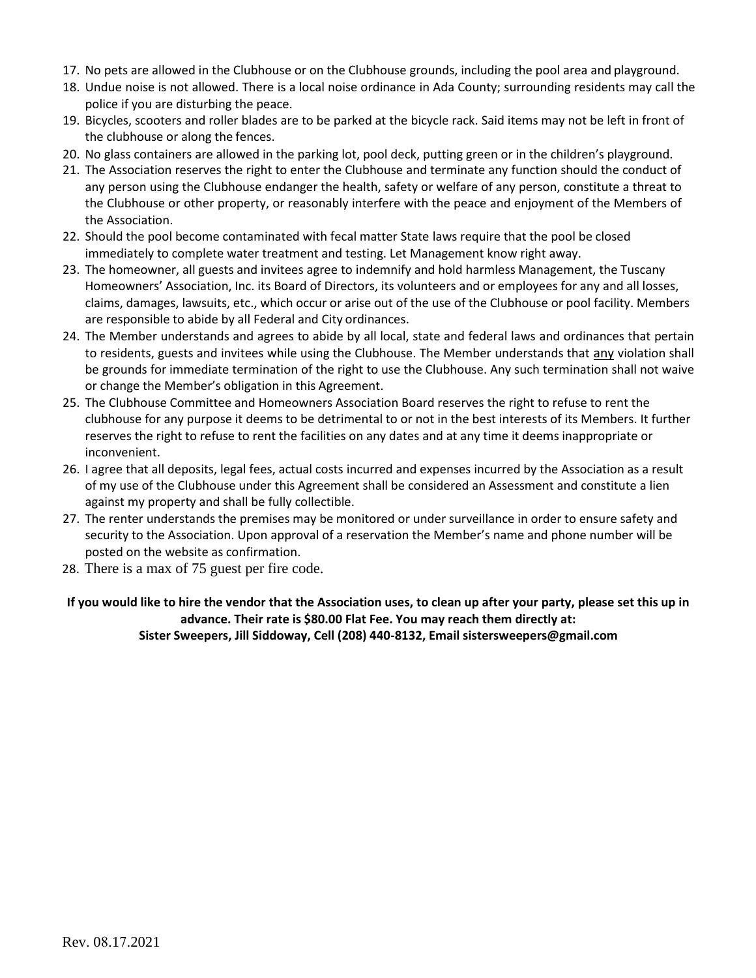- 17. No pets are allowed in the Clubhouse or on the Clubhouse grounds, including the pool area and playground.
- 18. Undue noise is not allowed. There is a local noise ordinance in Ada County; surrounding residents may call the police if you are disturbing the peace.
- 19. Bicycles, scooters and roller blades are to be parked at the bicycle rack. Said items may not be left in front of the clubhouse or along the fences.
- 20. No glass containers are allowed in the parking lot, pool deck, putting green or in the children's playground.
- 21. The Association reserves the right to enter the Clubhouse and terminate any function should the conduct of any person using the Clubhouse endanger the health, safety or welfare of any person, constitute a threat to the Clubhouse or other property, or reasonably interfere with the peace and enjoyment of the Members of the Association.
- 22. Should the pool become contaminated with fecal matter State laws require that the pool be closed immediately to complete water treatment and testing. Let Management know right away.
- 23. The homeowner, all guests and invitees agree to indemnify and hold harmless Management, the Tuscany Homeowners' Association, Inc. its Board of Directors, its volunteers and or employees for any and all losses, claims, damages, lawsuits, etc., which occur or arise out of the use of the Clubhouse or pool facility. Members are responsible to abide by all Federal and City ordinances.
- 24. The Member understands and agrees to abide by all local, state and federal laws and ordinances that pertain to residents, guests and invitees while using the Clubhouse. The Member understands that any violation shall be grounds for immediate termination of the right to use the Clubhouse. Any such termination shall not waive or change the Member's obligation in this Agreement.
- 25. The Clubhouse Committee and Homeowners Association Board reserves the right to refuse to rent the clubhouse for any purpose it deems to be detrimental to or not in the best interests of its Members. It further reserves the right to refuse to rent the facilities on any dates and at any time it deems inappropriate or inconvenient.
- 26. I agree that all deposits, legal fees, actual costs incurred and expenses incurred by the Association as a result of my use of the Clubhouse under this Agreement shall be considered an Assessment and constitute a lien against my property and shall be fully collectible.
- 27. The renter understands the premises may be monitored or under surveillance in order to ensure safety and security to the Association. Upon approval of a reservation the Member's name and phone number will be posted on the website as confirmation.
- 28. There is a max of 75 guest per fire code.

**If you would like to hire the vendor that the Association uses, to clean up after your party, please set this up in advance. Their rate is \$80.00 Flat Fee. You may reach them directly at: Sister Sweepers, Jill Siddoway, Cell (208) 440-8132, Email sistersweepers@gmail.com**